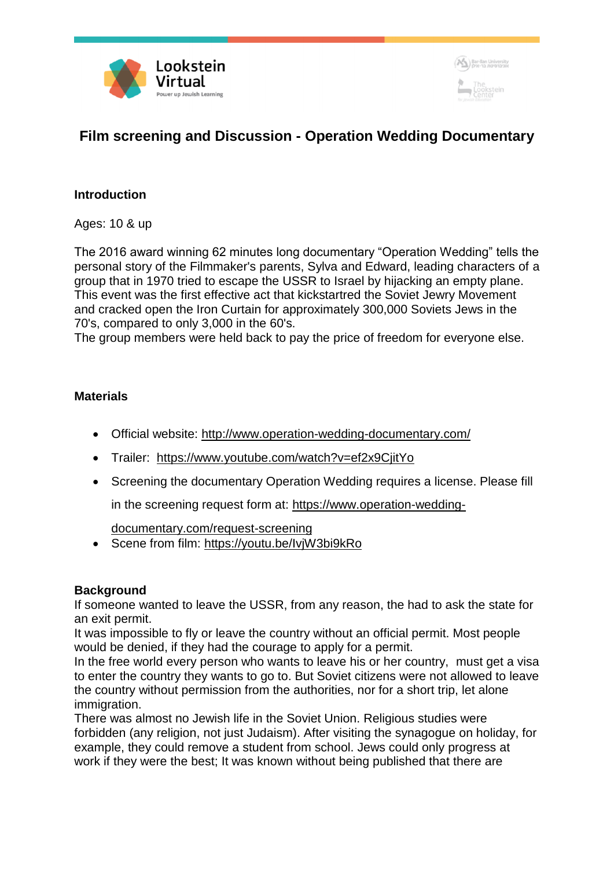



# **Film screening and Discussion - Operation Wedding Documentary**

## **Introduction**

Ages: 10 & up

The 2016 award winning 62 minutes long documentary "Operation Wedding" tells the personal story of the Filmmaker's parents, Sylva and Edward, leading characters of a group that in 1970 tried to escape the USSR to Israel by hijacking an empty plane. This event was the first effective act that kickstartred the Soviet Jewry Movement and cracked open the Iron Curtain for approximately 300,000 Soviets Jews in the 70's, compared to only 3,000 in the 60's.

The group members were held back to pay the price of freedom for everyone else.

### **Materials**

- Official website: <http://www.operation-wedding-documentary.com/>
- Trailer: <https://www.youtube.com/watch?v=ef2x9CjitYo>
- Screening the documentary Operation Wedding requires a license. Please fill

in the screening request form at: [https://www.operation-wedding-](https://www.operation-wedding-documentary.com/request-screening)

[documentary.com/request-screening](https://www.operation-wedding-documentary.com/request-screening)

Scene from film: <https://youtu.be/IvjW3bi9kRo>

### **Background**

If someone wanted to leave the USSR, from any reason, the had to ask the state for an exit permit.

It was impossible to fly or leave the country without an official permit. Most people would be denied, if they had the courage to apply for a permit.

In the free world every person who wants to leave his or her country, must get a visa to enter the country they wants to go to. But Soviet citizens were not allowed to leave the country without permission from the authorities, nor for a short trip, let alone immigration.

There was almost no Jewish life in the Soviet Union. Religious studies were forbidden (any religion, not just Judaism). After visiting the synagogue on holiday, for example, they could remove a student from school. Jews could only progress at work if they were the best; It was known without being published that there are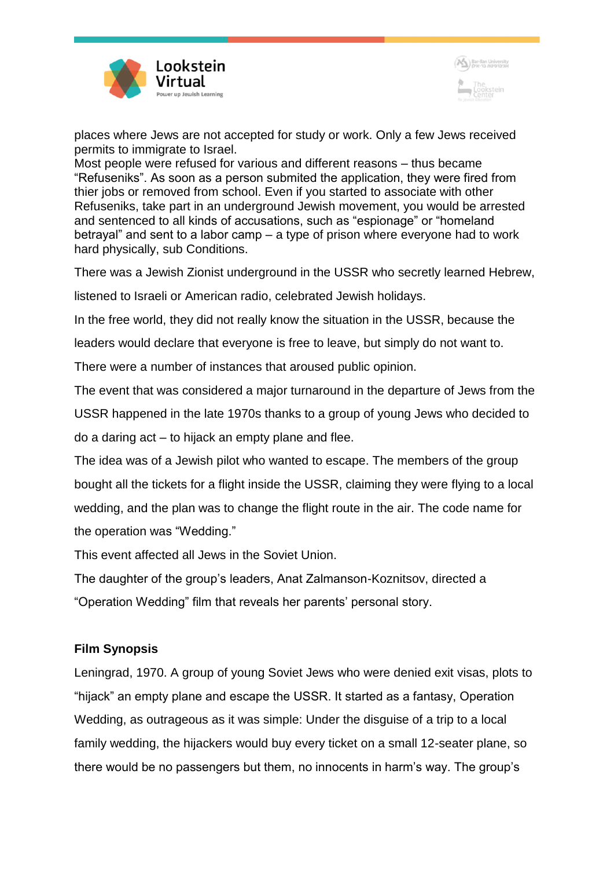



places where Jews are not accepted for study or work. Only a few Jews received permits to immigrate to Israel.

Most people were refused for various and different reasons – thus became "Refuseniks". As soon as a person submited the application, they were fired from thier jobs or removed from school. Even if you started to associate with other Refuseniks, take part in an underground Jewish movement, you would be arrested and sentenced to all kinds of accusations, such as "espionage" or "homeland betrayal" and sent to a labor camp – a type of prison where everyone had to work hard physically, sub Conditions.

There was a Jewish Zionist underground in the USSR who secretly learned Hebrew,

listened to Israeli or American radio, celebrated Jewish holidays.

In the free world, they did not really know the situation in the USSR, because the

leaders would declare that everyone is free to leave, but simply do not want to.

There were a number of instances that aroused public opinion.

The event that was considered a major turnaround in the departure of Jews from the

USSR happened in the late 1970s thanks to a group of young Jews who decided to

do a daring act – to hijack an empty plane and flee.

The idea was of a Jewish pilot who wanted to escape. The members of the group bought all the tickets for a flight inside the USSR, claiming they were flying to a local wedding, and the plan was to change the flight route in the air. The code name for the operation was "Wedding."

This event affected all Jews in the Soviet Union.

The daughter of the group's leaders, Anat Zalmanson-Koznitsov, directed a "Operation Wedding" film that reveals her parents' personal story.

### **Film Synopsis**

Leningrad, 1970. A group of young Soviet Jews who were denied exit visas, plots to "hijack" an empty plane and escape the USSR. It started as a fantasy, Operation Wedding, as outrageous as it was simple: Under the disguise of a trip to a local family wedding, the hijackers would buy every ticket on a small 12-seater plane, so there would be no passengers but them, no innocents in harm's way. The group's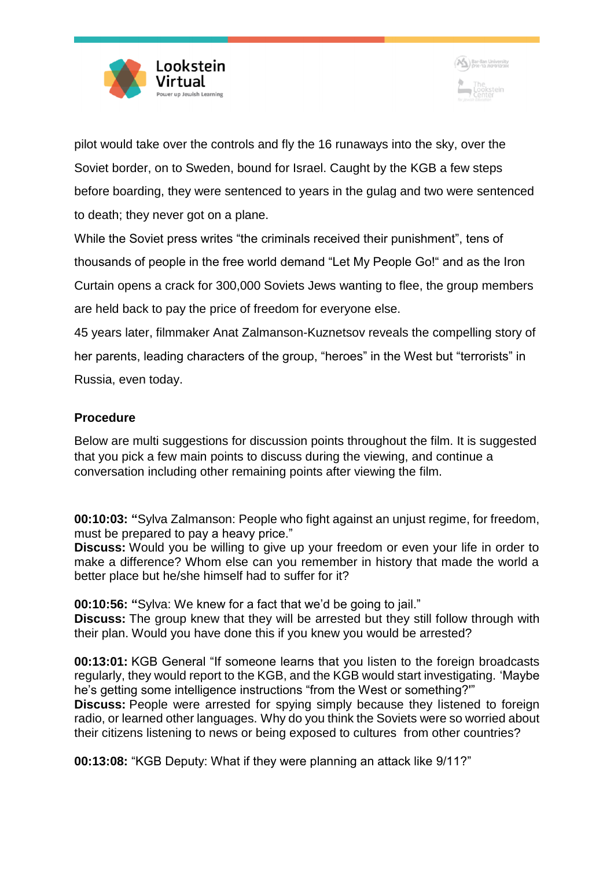



pilot would take over the controls and fly the 16 runaways into the sky, over the Soviet border, on to Sweden, bound for Israel. Caught by the KGB a few steps before boarding, they were sentenced to years in the gulag and two were sentenced to death; they never got on a plane.

While the Soviet press writes "the criminals received their punishment", tens of thousands of people in the free world demand "Let My People Go!" and as the Iron Curtain opens a crack for 300,000 Soviets Jews wanting to flee, the group members are held back to pay the price of freedom for everyone else. 45 years later, filmmaker Anat Zalmanson-Kuznetsov reveals the compelling story of her parents, leading characters of the group, "heroes" in the West but "terrorists" in Russia, even today.

## **Procedure**

Below are multi suggestions for discussion points throughout the film. It is suggested that you pick a few main points to discuss during the viewing, and continue a conversation including other remaining points after viewing the film.

**00:10:03: "**Sylva Zalmanson: People who fight against an unjust regime, for freedom, must be prepared to pay a heavy price."

**Discuss:** Would you be willing to give up your freedom or even your life in order to make a difference? Whom else can you remember in history that made the world a better place but he/she himself had to suffer for it?

**00:10:56: "**Sylva: We knew for a fact that we'd be going to jail."

**Discuss:** The group knew that they will be arrested but they still follow through with their plan. Would you have done this if you knew you would be arrested?

**00:13:01:** KGB General "If someone learns that you listen to the foreign broadcasts regularly, they would report to the KGB, and the KGB would start investigating. 'Maybe he's getting some intelligence instructions "from the West or something?'" **Discuss:** People were arrested for spying simply because they listened to foreign radio, or learned other languages. Why do you think the Soviets were so worried about their citizens listening to news or being exposed to cultures from other countries?

**00:13:08:** "KGB Deputy: What if they were planning an attack like 9/11?"